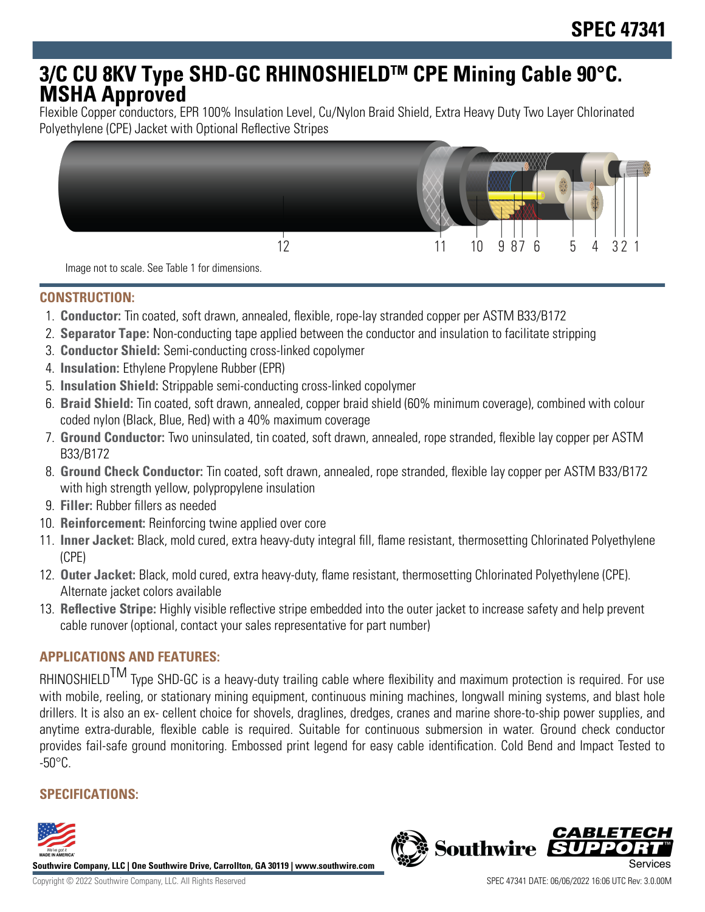# **3/C CU 8KV Type SHD-GC RHINOSHIELDTM CPE Mining Cable 90°C. MSHA Approved**

Flexible Copper conductors, EPR 100% Insulation Level, Cu/Nylon Braid Shield, Extra Heavy Duty Two Layer Chlorinated Polyethylene (CPE) Jacket with Optional Reflective Stripes



**CONSTRUCTION:**

- 1. **Conductor:** Tin coated, soft drawn, annealed, flexible, rope-lay stranded copper per ASTM B33/B172
- 2. **Separator Tape:** Non-conducting tape applied between the conductor and insulation to facilitate stripping
- 3. **Conductor Shield:** Semi-conducting cross-linked copolymer
- 4. **Insulation:** Ethylene Propylene Rubber (EPR)
- 5. **Insulation Shield:** Strippable semi-conducting cross-linked copolymer
- 6. **Braid Shield:** Tin coated, soft drawn, annealed, copper braid shield (60% minimum coverage), combined with colour coded nylon (Black, Blue, Red) with a 40% maximum coverage
- 7. **Ground Conductor:** Two uninsulated, tin coated, soft drawn, annealed, rope stranded, flexible lay copper per ASTM B33/B172
- 8. **Ground Check Conductor:** Tin coated, soft drawn, annealed, rope stranded, flexible lay copper per ASTM B33/B172 with high strength yellow, polypropylene insulation
- 9. **Filler:** Rubber fillers as needed
- 10. **Reinforcement:** Reinforcing twine applied over core
- 11. **Inner Jacket:** Black, mold cured, extra heavy-duty integral fill, flame resistant, thermosetting Chlorinated Polyethylene (CPE)
- 12. **Outer Jacket:** Black, mold cured, extra heavy-duty, flame resistant, thermosetting Chlorinated Polyethylene (CPE). Alternate jacket colors available
- 13. **Reflective Stripe:** Highly visible reflective stripe embedded into the outer jacket to increase safety and help prevent cable runover (optional, contact your sales representative for part number)

## **APPLICATIONS AND FEATURES:**

RHINOSHIELD<sup>TM</sup> Type SHD-GC is a heavy-duty trailing cable where flexibility and maximum protection is required. For use with mobile, reeling, or stationary mining equipment, continuous mining machines, longwall mining systems, and blast hole drillers. It is also an ex- cellent choice for shovels, draglines, dredges, cranes and marine shore-to-ship power supplies, and anytime extra-durable, flexible cable is required. Suitable for continuous submersion in water. Ground check conductor provides fail-safe ground monitoring. Embossed print legend for easy cable identification. Cold Bend and Impact Tested to  $-50^{\circ}$ C.

# **SPECIFICATIONS:**



**Southwire Company, LLC | One Southwire Drive, Carrollton, GA 30119 | www.southwire.com**

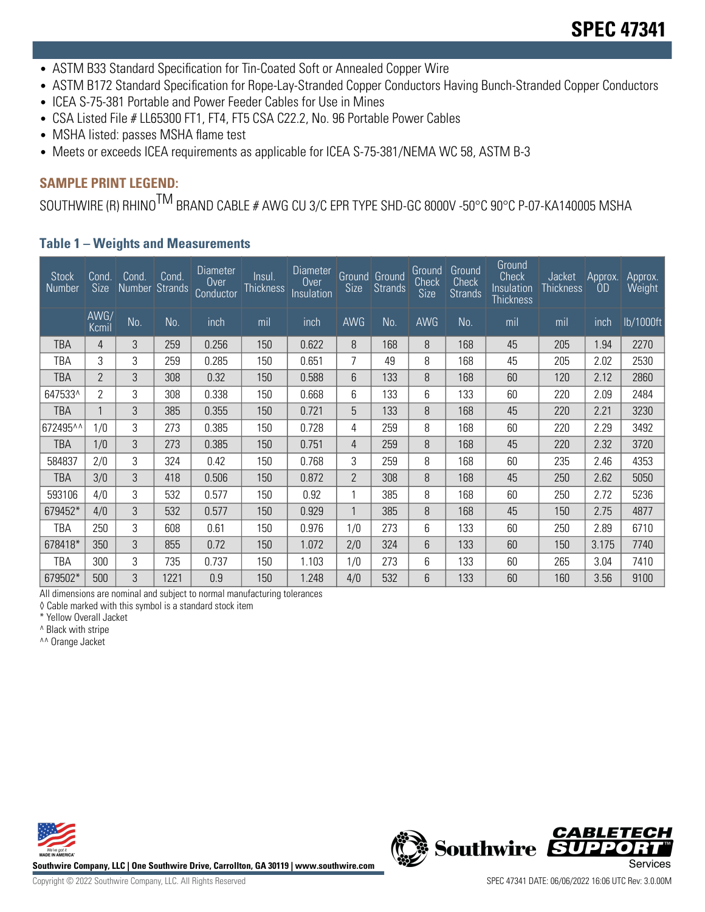- ASTM B33 Standard Specification for Tin-Coated Soft or Annealed Copper Wire
- ASTM B172 Standard Specification for Rope-Lay-Stranded Copper Conductors Having Bunch-Stranded Copper Conductors
- ICEA S-75-381 Portable and Power Feeder Cables for Use in Mines
- CSA Listed File # LL65300 FT1, FT4, FT5 CSA C22.2, No. 96 Portable Power Cables
- MSHA listed: passes MSHA flame test
- Meets or exceeds ICEA requirements as applicable for ICEA S-75-381/NEMA WC 58, ASTM B-3

### **SAMPLE PRINT LEGEND:**

SOUTHWIRE (R) RHINO<sup>TM</sup> BRAND CABLE # AWG CU 3/C EPR TYPE SHD-GC 8000V -50°C 90°C P-07-KA140005 MSHA

#### **Table 1 – Weights and Measurements**

| <b>Stock</b><br><b>Number</b> | Cond.<br><b>Size</b> | Cond.<br>Number | Cond.<br><b>Strands</b> | Diameter<br>Over<br>Conductor | Insul.<br><b>Thickness</b> | Diameter<br>Over<br>Insulation | <b>Size</b>    | Ground Ground<br><b>Strands</b> | Ground<br><b>Check</b><br>Size | Ground<br>Check<br><b>Strands</b> | Ground<br>Check<br>Insulation<br>Thickness | Jacket<br><b>Thickness</b> | Approx.<br>OD | Approx.<br>Weight |
|-------------------------------|----------------------|-----------------|-------------------------|-------------------------------|----------------------------|--------------------------------|----------------|---------------------------------|--------------------------------|-----------------------------------|--------------------------------------------|----------------------------|---------------|-------------------|
|                               | AWG/<br>Kcmil        | No.             | No.                     | inch                          | mil                        | inch                           | <b>AWG</b>     | No.                             | <b>AWG</b>                     | No.                               | mil                                        | mil                        | inch          | lb/1000ft         |
| TBA                           | 4                    | 3               | 259                     | 0.256                         | 150                        | 0.622                          | 8              | 168                             | 8                              | 168                               | 45                                         | 205                        | 1.94          | 2270              |
| TBA                           | 3                    | 3               | 259                     | 0.285                         | 150                        | 0.651                          | 7              | 49                              | 8                              | 168                               | 45                                         | 205                        | 2.02          | 2530              |
| <b>TBA</b>                    | $\overline{2}$       | 3               | 308                     | 0.32                          | 150                        | 0.588                          | 6              | 133                             | 8                              | 168                               | 60                                         | 120                        | 2.12          | 2860              |
| 647533^                       | $\overline{2}$       | 3               | 308                     | 0.338                         | 150                        | 0.668                          | 6              | 133                             | 6                              | 133                               | 60                                         | 220                        | 2.09          | 2484              |
| <b>TBA</b>                    | 1                    | 3               | 385                     | 0.355                         | 150                        | 0.721                          | 5              | 133                             | 8                              | 168                               | 45                                         | 220                        | 2.21          | 3230              |
| 672495^^                      | 1/0                  | 3               | 273                     | 0.385                         | 150                        | 0.728                          | 4              | 259                             | 8                              | 168                               | 60                                         | 220                        | 2.29          | 3492              |
| <b>TBA</b>                    | 1/0                  | 3               | 273                     | 0.385                         | 150                        | 0.751                          | 4              | 259                             | 8                              | 168                               | 45                                         | 220                        | 2.32          | 3720              |
| 584837                        | 2/0                  | 3               | 324                     | 0.42                          | 150                        | 0.768                          | 3              | 259                             | 8                              | 168                               | 60                                         | 235                        | 2.46          | 4353              |
| TBA                           | 3/0                  | 3               | 418                     | 0.506                         | 150                        | 0.872                          | $\overline{2}$ | 308                             | 8                              | 168                               | 45                                         | 250                        | 2.62          | 5050              |
| 593106                        | 4/0                  | 3               | 532                     | 0.577                         | 150                        | 0.92                           |                | 385                             | 8                              | 168                               | 60                                         | 250                        | 2.72          | 5236              |
| 679452*                       | 4/0                  | 3               | 532                     | 0.577                         | 150                        | 0.929                          | $\mathbf{1}$   | 385                             | 8                              | 168                               | 45                                         | 150                        | 2.75          | 4877              |
| TBA                           | 250                  | 3               | 608                     | 0.61                          | 150                        | 0.976                          | 1/0            | 273                             | 6                              | 133                               | 60                                         | 250                        | 2.89          | 6710              |
| 678418*                       | 350                  | 3               | 855                     | 0.72                          | 150                        | 1.072                          | 2/0            | 324                             | 6                              | 133                               | 60                                         | 150                        | 3.175         | 7740              |
| TBA                           | 300                  | 3               | 735                     | 0.737                         | 150                        | 1.103                          | 1/0            | 273                             | 6                              | 133                               | 60                                         | 265                        | 3.04          | 7410              |
| 679502*                       | 500                  | 3               | 1221                    | 0.9                           | 150                        | 1.248                          | 4/0            | 532                             | 6                              | 133                               | 60                                         | 160                        | 3.56          | 9100              |

All dimensions are nominal and subject to normal manufacturing tolerances

◊ Cable marked with this symbol is a standard stock item

\* Yellow Overall Jacket

^ Black with stripe

^^ Orange Jacket



**Southwire Company, LLC | One Southwire Drive, Carrollton, GA 30119 | www.southwire.com**